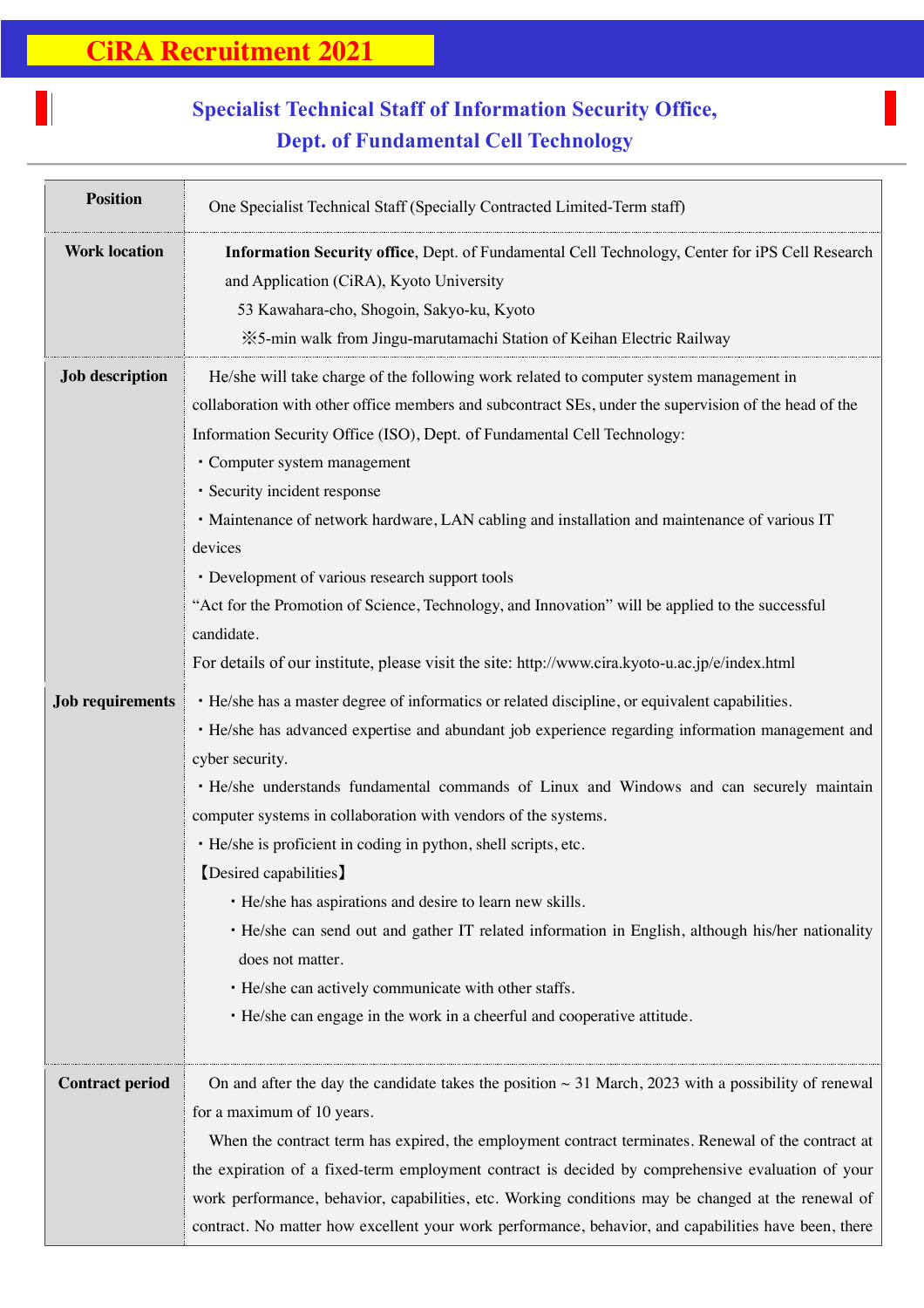H

## **Specialist Technical Staff of Information Security Office, Dept. of Fundamental Cell Technology**

| <b>Position</b>         | One Specialist Technical Staff (Specially Contracted Limited-Term staff)                                  |
|-------------------------|-----------------------------------------------------------------------------------------------------------|
| <b>Work location</b>    | Information Security office, Dept. of Fundamental Cell Technology, Center for iPS Cell Research           |
|                         | and Application (CiRA), Kyoto University                                                                  |
|                         | 53 Kawahara-cho, Shogoin, Sakyo-ku, Kyoto                                                                 |
|                         | ※5-min walk from Jingu-marutamachi Station of Keihan Electric Railway                                     |
| <b>Job description</b>  | He/she will take charge of the following work related to computer system management in                    |
|                         | collaboration with other office members and subcontract SEs, under the supervision of the head of the     |
|                         | Information Security Office (ISO), Dept. of Fundamental Cell Technology:                                  |
|                         | • Computer system management                                                                              |
|                         | · Security incident response                                                                              |
|                         | • Maintenance of network hardware, LAN cabling and installation and maintenance of various IT             |
|                         | devices                                                                                                   |
|                         | • Development of various research support tools                                                           |
|                         | "Act for the Promotion of Science, Technology, and Innovation" will be applied to the successful          |
|                         | candidate.                                                                                                |
|                         | For details of our institute, please visit the site: http://www.cira.kyoto-u.ac.jp/e/index.html           |
| <b>Job requirements</b> | · He/she has a master degree of informatics or related discipline, or equivalent capabilities.            |
|                         | • He/she has advanced expertise and abundant job experience regarding information management and          |
|                         | cyber security.                                                                                           |
|                         | • He/she understands fundamental commands of Linux and Windows and can securely maintain                  |
|                         | computer systems in collaboration with vendors of the systems.                                            |
|                         | · He/she is proficient in coding in python, shell scripts, etc.                                           |
|                         | [Desired capabilities]                                                                                    |
|                         | • He/she has aspirations and desire to learn new skills.                                                  |
|                         | • He/she can send out and gather IT related information in English, although his/her nationality          |
|                         | does not matter.                                                                                          |
|                         | • He/she can actively communicate with other staffs.                                                      |
|                         | · He/she can engage in the work in a cheerful and cooperative attitude.                                   |
| <b>Contract period</b>  | On and after the day the candidate takes the position $\sim$ 31 March, 2023 with a possibility of renewal |
|                         | for a maximum of 10 years.                                                                                |
|                         | When the contract term has expired, the employment contract terminates. Renewal of the contract at        |
|                         | the expiration of a fixed-term employment contract is decided by comprehensive evaluation of your         |
|                         | work performance, behavior, capabilities, etc. Working conditions may be changed at the renewal of        |
|                         | contract. No matter how excellent your work performance, behavior, and capabilities have been, there      |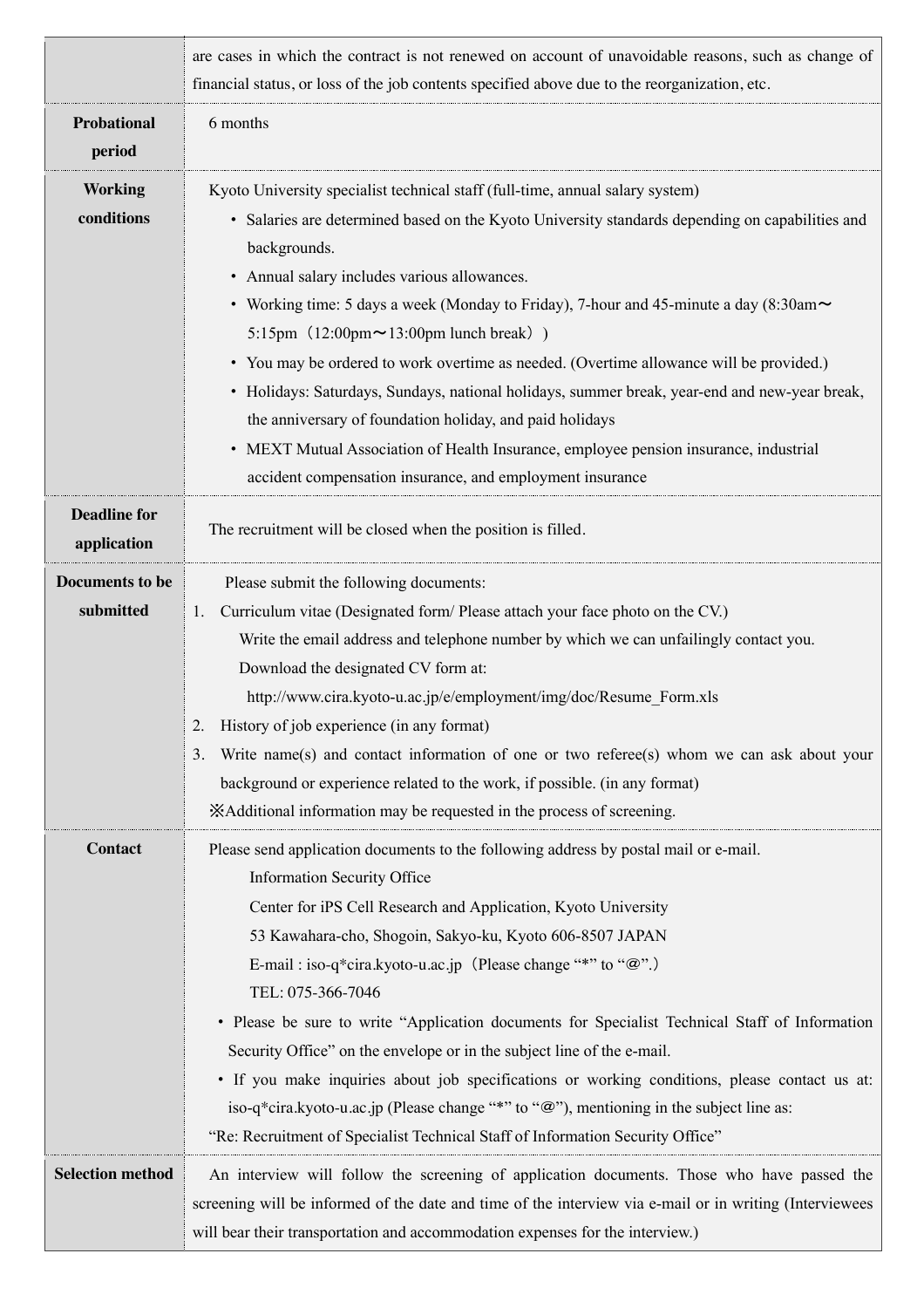|                                     | are cases in which the contract is not renewed on account of unavoidable reasons, such as change of<br>financial status, or loss of the job contents specified above due to the reorganization, etc.                                                                                                                                                                                                                                                                                                                                                                                                                                                                                                                                                                                                                           |
|-------------------------------------|--------------------------------------------------------------------------------------------------------------------------------------------------------------------------------------------------------------------------------------------------------------------------------------------------------------------------------------------------------------------------------------------------------------------------------------------------------------------------------------------------------------------------------------------------------------------------------------------------------------------------------------------------------------------------------------------------------------------------------------------------------------------------------------------------------------------------------|
| Probational<br>period               | 6 months                                                                                                                                                                                                                                                                                                                                                                                                                                                                                                                                                                                                                                                                                                                                                                                                                       |
| <b>Working</b><br>conditions        | Kyoto University specialist technical staff (full-time, annual salary system)<br>• Salaries are determined based on the Kyoto University standards depending on capabilities and<br>backgrounds.<br>• Annual salary includes various allowances.<br>• Working time: 5 days a week (Monday to Friday), 7-hour and 45-minute a day (8:30am~<br>5:15pm $(12:00 \text{pm} \sim 13:00 \text{pm} \text{ lunch break})$<br>• You may be ordered to work overtime as needed. (Overtime allowance will be provided.)<br>• Holidays: Saturdays, Sundays, national holidays, summer break, year-end and new-year break,<br>the anniversary of foundation holiday, and paid holidays<br>• MEXT Mutual Association of Health Insurance, employee pension insurance, industrial<br>accident compensation insurance, and employment insurance |
| <b>Deadline for</b><br>application  | The recruitment will be closed when the position is filled.                                                                                                                                                                                                                                                                                                                                                                                                                                                                                                                                                                                                                                                                                                                                                                    |
| <b>Documents to be</b><br>submitted | Please submit the following documents:<br>Curriculum vitae (Designated form/ Please attach your face photo on the CV.)<br>1.<br>Write the email address and telephone number by which we can unfailingly contact you.<br>Download the designated CV form at:<br>http://www.cira.kyoto-u.ac.jp/e/employment/img/doc/Resume Form.xls<br>History of job experience (in any format)<br>2.<br>Write name(s) and contact information of one or two referee(s) whom we can ask about your<br>3.<br>background or experience related to the work, if possible. (in any format)<br>XAdditional information may be requested in the process of screening.                                                                                                                                                                                |
| Contact                             | Please send application documents to the following address by postal mail or e-mail.<br><b>Information Security Office</b><br>Center for iPS Cell Research and Application, Kyoto University<br>53 Kawahara-cho, Shogoin, Sakyo-ku, Kyoto 606-8507 JAPAN<br>E-mail: iso-q*cira.kyoto-u.ac.jp (Please change "*" to "@".)<br>TEL: 075-366-7046<br>• Please be sure to write "Application documents for Specialist Technical Staff of Information<br>Security Office" on the envelope or in the subject line of the e-mail.<br>• If you make inquiries about job specifications or working conditions, please contact us at:<br>iso-q*cira.kyoto-u.ac.jp (Please change "*" to "@"), mentioning in the subject line as:<br>"Re: Recruitment of Specialist Technical Staff of Information Security Office"                        |
| <b>Selection method</b>             | An interview will follow the screening of application documents. Those who have passed the<br>screening will be informed of the date and time of the interview via e-mail or in writing (Interviewees<br>will bear their transportation and accommodation expenses for the interview.)                                                                                                                                                                                                                                                                                                                                                                                                                                                                                                                                         |